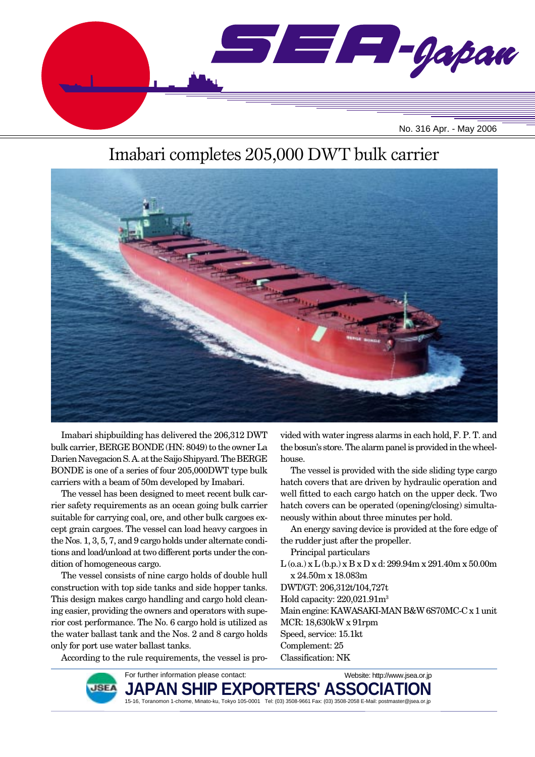

# Imabari completes 205,000 DWT bulk carrier



Imabari shipbuilding has delivered the 206,312 DWT bulk carrier, BERGE BONDE (HN: 8049) to the owner La Darien Navegacion S. A. at the Saijo Shipyard. The BERGE BONDE is one of a series of four 205,000DWT type bulk carriers with a beam of 50m developed by Imabari.

The vessel has been designed to meet recent bulk carrier safety requirements as an ocean going bulk carrier suitable for carrying coal, ore, and other bulk cargoes except grain cargoes. The vessel can load heavy cargoes in the Nos. 1, 3, 5, 7, and 9 cargo holds under alternate conditions and load/unload at two different ports under the condition of homogeneous cargo.

The vessel consists of nine cargo holds of double hull construction with top side tanks and side hopper tanks. This design makes cargo handling and cargo hold cleaning easier, providing the owners and operators with superior cost performance. The No. 6 cargo hold is utilized as the water ballast tank and the Nos. 2 and 8 cargo holds only for port use water ballast tanks.

According to the rule requirements, the vessel is pro-

vided with water ingress alarms in each hold, F. P. T. and the bosun's store. The alarm panel is provided in the wheelhouse.

The vessel is provided with the side sliding type cargo hatch covers that are driven by hydraulic operation and well fitted to each cargo hatch on the upper deck. Two hatch covers can be operated (opening/closing) simultaneously within about three minutes per hold.

An energy saving device is provided at the fore edge of the rudder just after the propeller.

Principal particulars

L (o.a.) x L (b.p.) x B x D x d: 299.94m x 291.40m x 50.00m x 24.50m x 18.083m DWT/GT: 206,312t/104,727t

Hold capacity: 220,021.91m3

Main engine: KAWASAKI-MAN B&W 6S70MC-C x 1 unit MCR: 18,630kW x 91rpm Speed, service: 15.1kt

Website: http://www.jsea.or.jp

Complement: 25

Classification: NK



JAPAN SHIP EXPORTERS' ASSO**(** 15-16, Toranomon 1-chome, Minato-ku, Tokyo 105-0001 Tel: (03) 3508-9661 Fax: (03) 3508-2058 E-Mail: postmaster@jsea.or.jp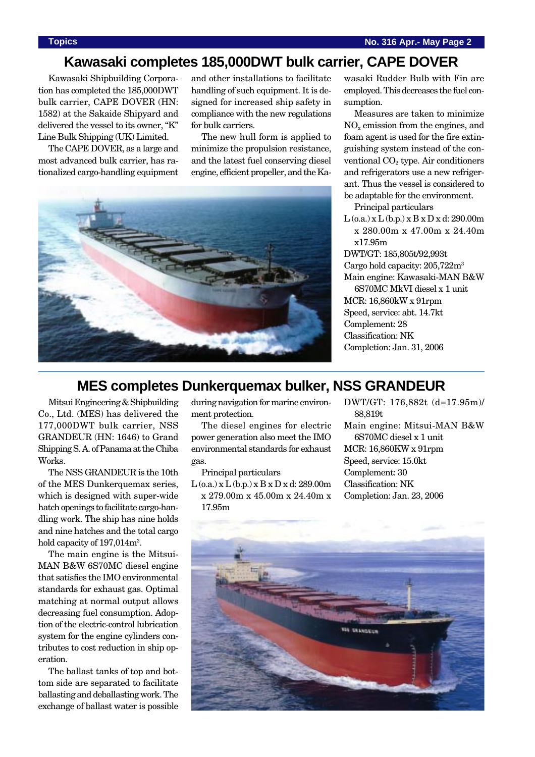## **Kawasaki completes 185,000DWT bulk carrier, CAPE DOVER**

Kawasaki Shipbuilding Corporation has completed the 185,000DWT bulk carrier, CAPE DOVER (HN: 1582) at the Sakaide Shipyard and delivered the vessel to its owner, "K" Line Bulk Shipping (UK) Limited.

The CAPE DOVER, as a large and most advanced bulk carrier, has rationalized cargo-handling equipment and other installations to facilitate handling of such equipment. It is designed for increased ship safety in compliance with the new regulations for bulk carriers.

The new hull form is applied to minimize the propulsion resistance, and the latest fuel conserving diesel engine, efficient propeller, and the Ka-



wasaki Rudder Bulb with Fin are employed. This decreases the fuel consumption.

Measures are taken to minimize  $NO<sub>x</sub>$  emission from the engines, and foam agent is used for the fire extinguishing system instead of the conventional  $CO<sub>2</sub>$  type. Air conditioners and refrigerators use a new refrigerant. Thus the vessel is considered to be adaptable for the environment.

Principal particulars

 $L$  (o.a.) x  $L$  (b.p.) x  $B$  x  $D$  x d: 290.00m x 280.00m x 47.00m x 24.40m x17.95m

DWT/GT: 185,805t/92,993t Cargo hold capacity: 205,722m3 Main engine: Kawasaki-MAN B&W 6S70MC MkVI diesel x 1 unit MCR: 16,860kW x 91rpm Speed, service: abt. 14.7kt Complement: 28 Classification: NK Completion: Jan. 31, 2006

## **MES completes Dunkerquemax bulker, NSS GRANDEUR**

Mitsui Engineering & Shipbuilding Co., Ltd. (MES) has delivered the 177,000DWT bulk carrier, NSS GRANDEUR (HN: 1646) to Grand Shipping S. A. of Panama at the Chiba Works.

The NSS GRANDEUR is the 10th of the MES Dunkerquemax series, which is designed with super-wide hatch openings to facilitate cargo-handling work. The ship has nine holds and nine hatches and the total cargo hold capacity of  $197,014 <sup>m²</sup>$ .

The main engine is the Mitsui-MAN B&W 6S70MC diesel engine that satisfies the IMO environmental standards for exhaust gas. Optimal matching at normal output allows decreasing fuel consumption. Adoption of the electric-control lubrication system for the engine cylinders contributes to cost reduction in ship operation.

The ballast tanks of top and bottom side are separated to facilitate ballasting and deballasting work. The exchange of ballast water is possible during navigation for marine environment protection.

The diesel engines for electric power generation also meet the IMO environmental standards for exhaust gas.

Principal particulars

 $L$  (o.a.) x  $L$  (b.p.) x  $B$  x  $D$  x d: 289.00m x 279.00m x 45.00m x 24.40m x 17.95m

DWT/GT: 176,882t (d=17.95m)/ 88,819t Main engine: Mitsui-MAN B&W 6S70MC diesel x 1 unit MCR: 16,860KW x 91rpm Speed, service: 15.0kt Complement: 30 Classification: NK Completion: Jan. 23, 2006

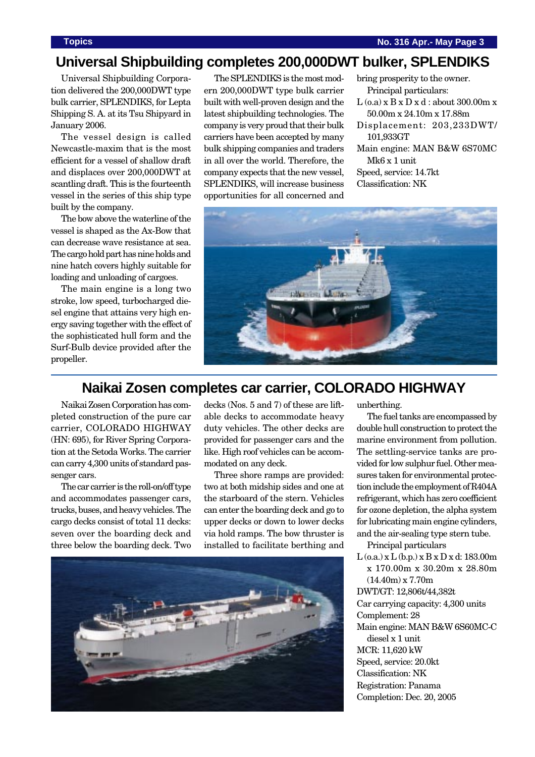## **Universal Shipbuilding completes 200,000DWT bulker, SPLENDIKS**

Universal Shipbuilding Corporation delivered the 200,000DWT type bulk carrier, SPLENDIKS, for Lepta Shipping S. A. at its Tsu Shipyard in January 2006.

The vessel design is called Newcastle-maxim that is the most efficient for a vessel of shallow draft and displaces over 200,000DWT at scantling draft. This is the fourteenth vessel in the series of this ship type built by the company.

The bow above the waterline of the vessel is shaped as the Ax-Bow that can decrease wave resistance at sea. The cargo hold part has nine holds and nine hatch covers highly suitable for loading and unloading of cargoes.

The main engine is a long two stroke, low speed, turbocharged diesel engine that attains very high energy saving together with the effect of the sophisticated hull form and the Surf-Bulb device provided after the propeller.

The SPLENDIKS is the most modern 200,000DWT type bulk carrier built with well-proven design and the latest shipbuilding technologies. The company is very proud that their bulk carriers have been accepted by many bulk shipping companies and traders in all over the world. Therefore, the company expects that the new vessel, SPLENDIKS, will increase business opportunities for all concerned and

bring prosperity to the owner. Principal particulars:  $L$  (o.a)  $x B x D x d$  : about 300.00m  $x$ 50.00m x 24.10m x 17.88m Displacement: 203,233DWT/ 101,933GT Main engine: MAN B&W 6S70MC Mk6 x 1 unit Speed, service: 14.7kt Classification: NK



### **Naikai Zosen completes car carrier, COLORADO HIGHWAY**

Naikai Zosen Corporation has completed construction of the pure car carrier, COLORADO HIGHWAY (HN: 695), for River Spring Corporation at the Setoda Works. The carrier can carry 4,300 units of standard passenger cars.

The car carrier is the roll-on/off type and accommodates passenger cars, trucks, buses, and heavy vehicles. The cargo decks consist of total 11 decks: seven over the boarding deck and three below the boarding deck. Two decks (Nos. 5 and 7) of these are liftable decks to accommodate heavy duty vehicles. The other decks are provided for passenger cars and the like. High roof vehicles can be accommodated on any deck.

Three shore ramps are provided: two at both midship sides and one at the starboard of the stern. Vehicles can enter the boarding deck and go to upper decks or down to lower decks via hold ramps. The bow thruster is installed to facilitate berthing and



unberthing.

The fuel tanks are encompassed by double hull construction to protect the marine environment from pollution. The settling-service tanks are provided for low sulphur fuel. Other measures taken for environmental protection include the employment of R404A refrigerant, which has zero coefficient for ozone depletion, the alpha system for lubricating main engine cylinders, and the air-sealing type stern tube.

Principal particulars

 $L$  (o.a.) x  $L$  (b.p.) x  $B$  x  $D$  x d: 183.00m x 170.00m x 30.20m x 28.80m  $(14.40m) \times 7.70m$ DWT/GT: 12,806t/44,382t Car carrying capacity: 4,300 units Complement: 28 Main engine: MAN B&W 6S60MC-C diesel x 1 unit MCR: 11,620 kW Speed, service: 20.0kt Classification: NK Registration: Panama Completion: Dec. 20, 2005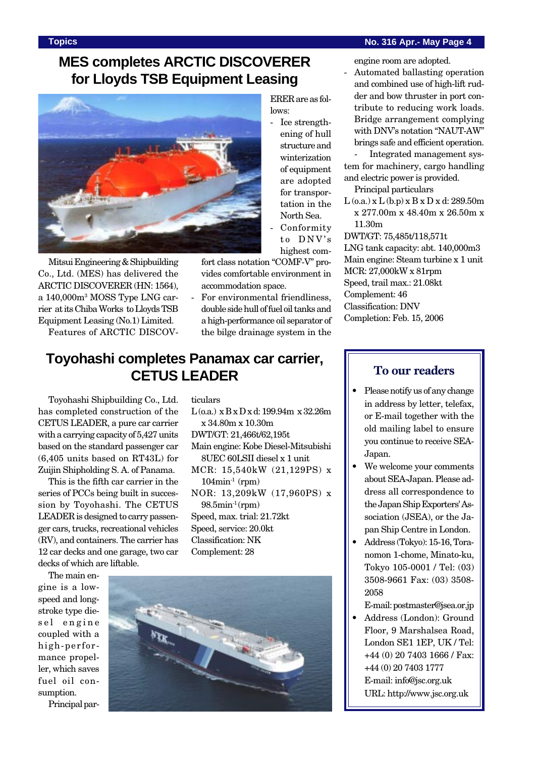### **Topics No. 316 Apr.- May Page 4**

engine room are adopted. - Automated ballasting operation and combined use of high-lift rudder and bow thruster in port contribute to reducing work loads. Bridge arrangement complying with DNV's notation "NAUT-AW"

# **MES completes ARCTIC DISCOVERER for Lloyds TSB Equipment Leasing**



Mitsui Engineering & Shipbuilding Co., Ltd. (MES) has delivered the ARCTIC DISCOVERER (HN: 1564), a 140,000m3 MOSS Type LNG carrier at its Chiba Works to Lloyds TSB Equipment Leasing (No.1) Limited.

Features of ARCTIC DISCOV-

ERER are as follows:

- Ice strengthening of hull structure and winterization of equipment are adopted for transportation in the North Sea.
- Conformity to DNV's highest com-

fort class notation "COMF-V" provides comfortable environment in accommodation space.

- For environmental friendliness, double side hull of fuel oil tanks and a high-performance oil separator of the bilge drainage system in the

# **Toyohashi completes Panamax car carrier, CETUS LEADER**

Toyohashi Shipbuilding Co., Ltd. has completed construction of the CETUS LEADER, a pure car carrier with a carrying capacity of 5,427 units based on the standard passenger car (6,405 units based on RT43L) for Zuijin Shipholding S. A. of Panama.

This is the fifth car carrier in the series of PCCs being built in succession by Toyohashi. The CETUS LEADER is designed to carry passenger cars, trucks, recreational vehicles (RV), and containers. The carrier has 12 car decks and one garage, two car decks of which are liftable.

ticulars

 $L$  (o.a.)  $x B x D x d$ : 199.94m  $x 32.26m$ x 34.80m x 10.30m

DWT/GT: 21,466t/62,195t

- Main engine: Kobe Diesel-Mitsubishi 8UEC 60LSII diesel x 1 unit
- MCR: 15,540kW (21,129PS) x  $104$ min<sup>-1</sup> (rpm) NOR: 13,209kW (17,960PS) x
- $98.5$ min<sup>-1</sup> (rpm) Speed, max. trial: 21.72kt Speed, service: 20.0kt Classification: NK

Complement: 28

The main engine is a lowspeed and longstroke type diesel engine coupled with a high-performance propeller, which saves fuel oil consumption.

Principal par-



### brings safe and efficient operation. - Integrated management system for machinery, cargo handling and electric power is provided. Principal particulars

L (o.a.) x L (b.p) x B x D x d: 289.50m x 277.00m x 48.40m x 26.50m x 11.30m

DWT/GT: 75,485t/118,571t LNG tank capacity: abt. 140,000m3 Main engine: Steam turbine x 1 unit MCR: 27,000kW x 81rpm Speed, trail max.: 21.08kt Complement: 46 Classification: DNV Completion: Feb. 15, 2006

### **To our readers**

- Please notify us of any change in address by letter, telefax, or E-mail together with the old mailing label to ensure you continue to receive SEA-Japan.
- We welcome your comments about SEA-Japan. Please address all correspondence to the Japan Ship Exporters' Association (JSEA), or the Japan Ship Centre in London.
- Address (Tokyo): 15-16, Toranomon 1-chome, Minato-ku, Tokyo 105-0001 / Tel: (03) 3508-9661 Fax: (03) 3508- 2058

E-mail: postmaster@jsea.or.jp

• Address (London): Ground Floor, 9 Marshalsea Road, London SE1 1EP, UK / Tel: +44 (0) 20 7403 1666 / Fax: +44 (0) 20 7403 1777 E-mail: info@jsc.org.uk URL: http://www.jsc.org.uk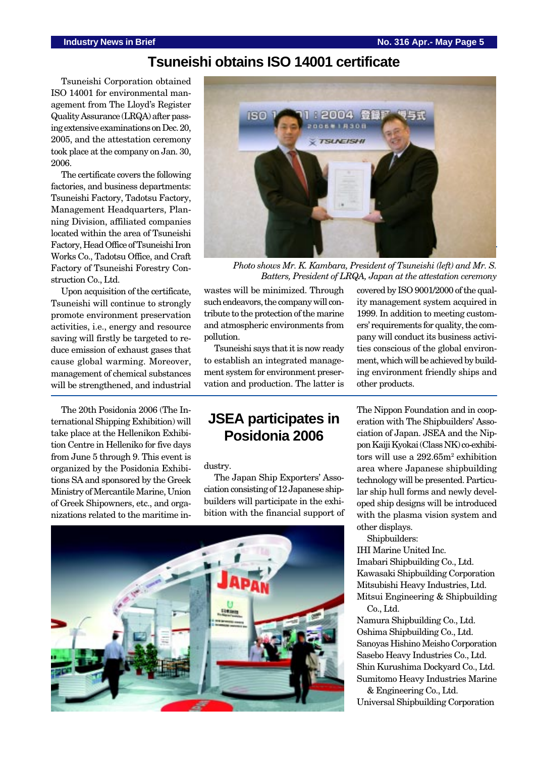### **Tsuneishi obtains ISO 14001 certificate**

Tsuneishi Corporation obtained ISO 14001 for environmental management from The Lloyd's Register Quality Assurance (LRQA) after passing extensive examinations on Dec. 20, 2005, and the attestation ceremony took place at the company on Jan. 30, 2006.

The certificate covers the following factories, and business departments: Tsuneishi Factory, Tadotsu Factory, Management Headquarters, Planning Division, affiliated companies located within the area of Tsuneishi Factory, Head Office of Tsuneishi Iron Works Co., Tadotsu Office, and Craft Factory of Tsuneishi Forestry Construction Co., Ltd.

Upon acquisition of the certificate, Tsuneishi will continue to strongly promote environment preservation activities, i.e., energy and resource saving will firstly be targeted to reduce emission of exhaust gases that cause global warming. Moreover, management of chemical substances will be strengthened, and industrial

The 20th Posidonia 2006 (The International Shipping Exhibition) will take place at the Hellenikon Exhibition Centre in Helleniko for five days from June 5 through 9. This event is organized by the Posidonia Exhibitions SA and sponsored by the Greek Ministry of Mercantile Marine, Union of Greek Shipowners, etc., and organizations related to the maritime in-



*Photo shows Mr. K. Kambara, President of Tsuneishi (left) and Mr. S. Batters, President of LRQA, Japan at the attestation ceremony*

wastes will be minimized. Through such endeavors, the company will contribute to the protection of the marine and atmospheric environments from pollution.

Tsuneishi says that it is now ready to establish an integrated management system for environment preservation and production. The latter is

## **JSEA participates in Posidonia 2006**

dustry.

The Japan Ship Exporters' Association consisting of 12 Japanese shipbuilders will participate in the exhibition with the financial support of



covered by ISO 9001/2000 of the quality management system acquired in 1999. In addition to meeting customers' requirements for quality, the company will conduct its business activities conscious of the global environment, which will be achieved by building environment friendly ships and other products.

The Nippon Foundation and in cooperation with The Shipbuilders' Association of Japan. JSEA and the Nippon Kaiji Kyokai (Class NK) co-exhibitors will use a 292.65m<sup>2</sup> exhibition area where Japanese shipbuilding technology will be presented. Particular ship hull forms and newly developed ship designs will be introduced with the plasma vision system and other displays.

Shipbuilders:

IHI Marine United Inc. Imabari Shipbuilding Co., Ltd. Kawasaki Shipbuilding Corporation Mitsubishi Heavy Industries, Ltd. Mitsui Engineering & Shipbuilding

Co., Ltd. Namura Shipbuilding Co., Ltd. Oshima Shipbuilding Co., Ltd. Sanoyas Hishino Meisho Corporation Sasebo Heavy Industries Co., Ltd. Shin Kurushima Dockyard Co., Ltd. Sumitomo Heavy Industries Marine

& Engineering Co., Ltd. Universal Shipbuilding Corporation